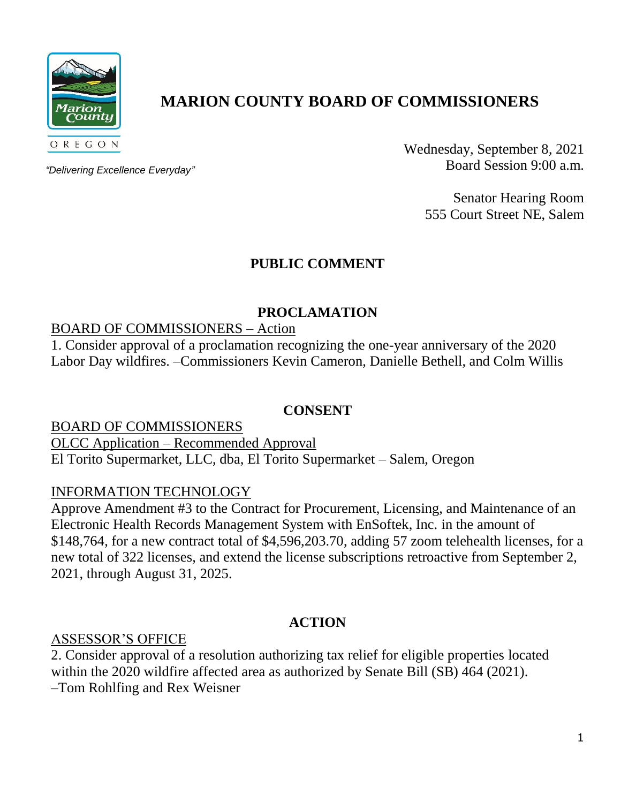

# **MARION COUNTY BOARD OF COMMISSIONERS**

*"Delivering Excellence Everyday"*

Wednesday, September 8, 2021 Board Session 9:00 a.m.

> Senator Hearing Room 555 Court Street NE, Salem

# **PUBLIC COMMENT**

# **PROCLAMATION**

# BOARD OF COMMISSIONERS – Action

1. Consider approval of a proclamation recognizing the one-year anniversary of the 2020 Labor Day wildfires. –Commissioners Kevin Cameron, Danielle Bethell, and Colm Willis

## **CONSENT**

BOARD OF COMMISSIONERS OLCC Application – Recommended Approval El Torito Supermarket, LLC, dba, El Torito Supermarket – Salem, Oregon

## INFORMATION TECHNOLOGY

Approve Amendment #3 to the Contract for Procurement, Licensing, and Maintenance of an Electronic Health Records Management System with EnSoftek, Inc. in the amount of \$148,764, for a new contract total of \$4,596,203.70, adding 57 zoom telehealth licenses, for a new total of 322 licenses, and extend the license subscriptions retroactive from September 2, 2021, through August 31, 2025.

# **ACTION**

## ASSESSOR'S OFFICE

2. Consider approval of a resolution authorizing tax relief for eligible properties located within the 2020 wildfire affected area as authorized by Senate Bill (SB) 464 (2021). –Tom Rohlfing and Rex Weisner